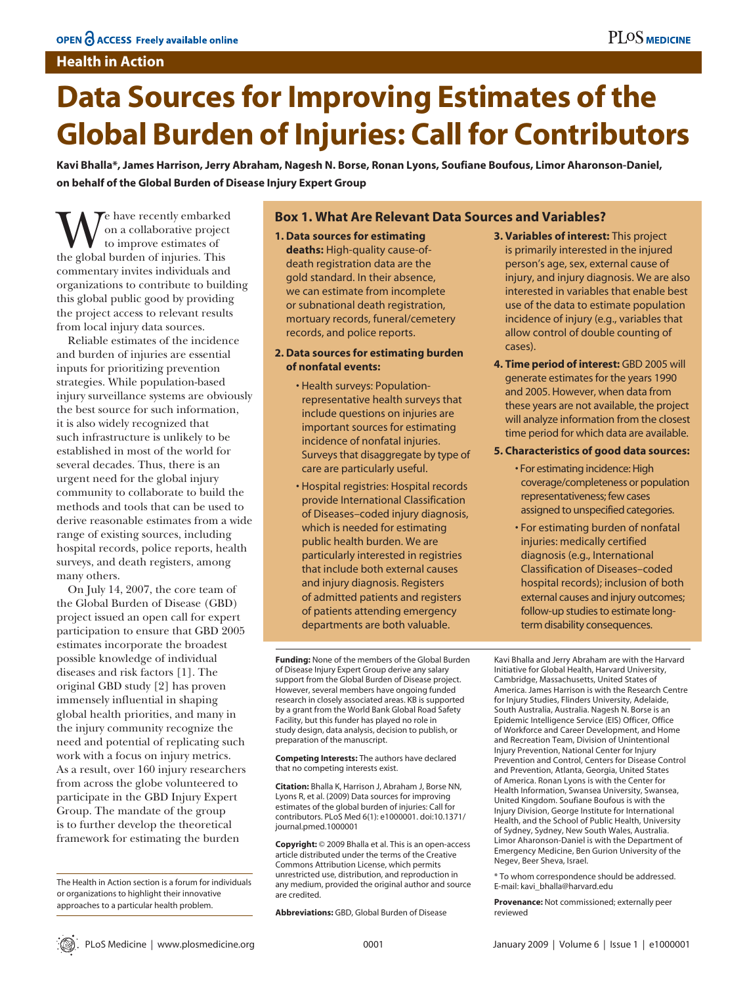## **Health in Action**

# **Data Sources for Improving Estimates of the Global Burden of Injuries: Call for Contributors**

**Kavi Bhalla\*, James Harrison, Jerry Abraham, Nagesh N. Borse, Ronan Lyons, Soufiane Boufous, Limor Aharonson-Daniel, on behalf of the Global Burden of Disease Injury Expert Group**

We have recently embarked<br>to improve estimates of<br>the global burden of injuries. This on a collaborative project to improve estimates of commentary invites individuals and organizations to contribute to building this global public good by providing the project access to relevant results from local injury data sources.

Reliable estimates of the incidence and burden of injuries are essential inputs for prioritizing prevention strategies. While population-based injury surveillance systems are obviously the best source for such information, it is also widely recognized that such infrastructure is unlikely to be established in most of the world for several decades. Thus, there is an urgent need for the global injury community to collaborate to build the methods and tools that can be used to derive reasonable estimates from a wide range of existing sources, including hospital records, police reports, health surveys, and death registers, among many others.

On July 14, 2007, the core team of the Global Burden of Disease (GBD) project issued an open call for expert participation to ensure that GBD 2005 estimates incorporate the broadest possible knowledge of individual diseases and risk factors [1]. The original GBD study [2] has proven immensely influential in shaping global health priorities, and many in the injury community recognize the need and potential of replicating such work with a focus on injury metrics. As a result, over 160 injury researchers from across the globe volunteered to participate in the GBD Injury Expert Group. The mandate of the group is to further develop the theoretical framework for estimating the burden

The Health in Action section is a forum for individuals or organizations to highlight their innovative approaches to a particular health problem.

## **Box 1. What Are Relevant Data Sources and Variables?**

- **1. Data sources for estimating deaths:** High-quality cause-ofdeath registration data are the gold standard. In their absence, we can estimate from incomplete or subnational death registration, mortuary records, funeral/cemetery records, and police reports.
- **2. Data sources for estimating burden of nonfatal events:**
	- Health surveys: Populationrepresentative health surveys that include questions on injuries are important sources for estimating incidence of nonfatal injuries. Surveys that disaggregate by type of care are particularly useful.
	- Hospital registries: Hospital records provide International Classification of Diseases–coded injury diagnosis, which is needed for estimating public health burden. We are particularly interested in registries that include both external causes and injury diagnosis. Registers of admitted patients and registers of patients attending emergency departments are both valuable.

**Funding:** None of the members of the Global Burden of Disease Injury Expert Group derive any salary support from the Global Burden of Disease project. However, several members have ongoing funded research in closely associated areas. KB is supported by a grant from the World Bank Global Road Safety Facility, but this funder has played no role in study design, data analysis, decision to publish, or preparation of the manuscript.

**Competing Interests:** The authors have declared that no competing interests exist.

**Citation:** Bhalla K, Harrison J, Abraham J, Borse NN, Lyons R, et al. (2009) Data sources for improving estimates of the global burden of injuries: Call for contributors. PLoS Med 6(1): e1000001. doi:10.1371/ journal.pmed.1000001

**Copyright:** © 2009 Bhalla et al. This is an open-access article distributed under the terms of the Creative Commons Attribution License, which permits unrestricted use, distribution, and reproduction in any medium, provided the original author and source are credited.

**Abbreviations:** GBD, Global Burden of Disease

**3. Variables of interest:** This project is primarily interested in the injured person's age, sex, external cause of injury, and injury diagnosis. We are also interested in variables that enable best use of the data to estimate population incidence of injury (e.g., variables that allow control of double counting of cases).

**4. Time period of interest:** GBD 2005 will generate estimates for the years 1990 and 2005. However, when data from these years are not available, the project will analyze information from the closest time period for which data are available.

## **5. Characteristics of good data sources:**

• For estimating incidence: High coverage/completeness or population representativeness; few cases assigned to unspecified categories.

• For estimating burden of nonfatal injuries: medically certified diagnosis (e.g., International Classification of Diseases–coded hospital records); inclusion of both external causes and injury outcomes; follow-up studies to estimate longterm disability consequences.

Kavi Bhalla and Jerry Abraham are with the Harvard Initiative for Global Health, Harvard University, Cambridge, Massachusetts, United States of America. James Harrison is with the Research Centre for Injury Studies, Flinders University, Adelaide, South Australia, Australia. Nagesh N. Borse is an Epidemic Intelligence Service (EIS) Officer, Office of Workforce and Career Development, and Home and Recreation Team, Division of Unintentional Injury Prevention, National Center for Injury Prevention and Control, Centers for Disease Control and Prevention, Atlanta, Georgia, United States of America. Ronan Lyons is with the Center for Health Information, Swansea University, Swansea, United Kingdom. Soufiane Boufous is with the Injury Division, George Institute for International Health, and the School of Public Health, University of Sydney, Sydney, New South Wales, Australia. Limor Aharonson-Daniel is with the Department of Emergency Medicine, Ben Gurion University of the Negev, Beer Sheva, Israel.

\* To whom correspondence should be addressed. E-mail: kavi\_bhalla@harvard.edu

**Provenance:** Not commissioned; externally peer reviewed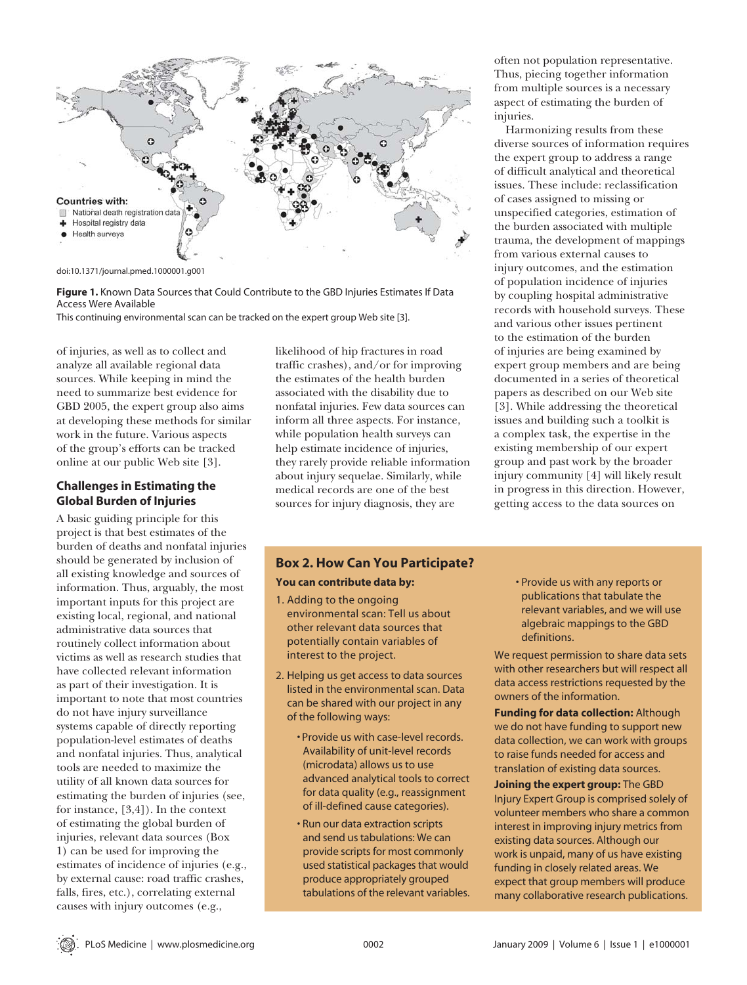

doi:10.1371/journal.pmed.1000001.g001

**Figure 1.** Known Data Sources that Could Contribute to the GBD Injuries Estimates If Data Access Were Available

This continuing environmental scan can be tracked on the expert group Web site [3].

of injuries, as well as to collect and analyze all available regional data sources. While keeping in mind the need to summarize best evidence for GBD 2005, the expert group also aims at developing these methods for similar work in the future. Various aspects of the group's efforts can be tracked online at our public Web site [3].

## **Challenges in Estimating the Global Burden of Injuries**

A basic guiding principle for this project is that best estimates of the burden of deaths and nonfatal injuries should be generated by inclusion of all existing knowledge and sources of information. Thus, arguably, the most important inputs for this project are existing local, regional, and national administrative data sources that routinely collect information about victims as well as research studies that have collected relevant information as part of their investigation. It is important to note that most countries do not have injury surveillance systems capable of directly reporting population-level estimates of deaths and nonfatal injuries. Thus, analytical tools are needed to maximize the utility of all known data sources for estimating the burden of injuries (see, for instance, [3,4]). In the context of estimating the global burden of injuries, relevant data sources (Box 1) can be used for improving the estimates of incidence of injuries (e.g., by external cause: road traffic crashes, falls, fires, etc.), correlating external causes with injury outcomes (e.g.,

likelihood of hip fractures in road traffic crashes), and/or for improving the estimates of the health burden associated with the disability due to nonfatal injuries. Few data sources can inform all three aspects. For instance, while population health surveys can help estimate incidence of injuries, they rarely provide reliable information about injury sequelae. Similarly, while medical records are one of the best sources for injury diagnosis, they are

## **Box 2. How Can You Participate?**

#### **You can contribute data by:**

- 1. Adding to the ongoing environmental scan: Tell us about other relevant data sources that potentially contain variables of interest to the project.
- 2. Helping us get access to data sources listed in the environmental scan. Data can be shared with our project in any of the following ways:
	- Provide us with case-level records. Availability of unit-level records (microdata) allows us to use advanced analytical tools to correct for data quality (e.g., reassignment of ill-defined cause categories).
	- Run our data extraction scripts and send us tabulations: We can provide scripts for most commonly used statistical packages that would produce appropriately grouped tabulations of the relevant variables.

often not population representative. Thus, piecing together information from multiple sources is a necessary aspect of estimating the burden of injuries.

Harmonizing results from these diverse sources of information requires the expert group to address a range of difficult analytical and theoretical issues. These include: reclassification of cases assigned to missing or unspecified categories, estimation of the burden associated with multiple trauma, the development of mappings from various external causes to injury outcomes, and the estimation of population incidence of injuries by coupling hospital administrative records with household surveys. These and various other issues pertinent to the estimation of the burden of injuries are being examined by expert group members and are being documented in a series of theoretical papers as described on our Web site [3]. While addressing the theoretical issues and building such a toolkit is a complex task, the expertise in the existing membership of our expert group and past work by the broader injury community [4] will likely result in progress in this direction. However, getting access to the data sources on

> • Provide us with any reports or publications that tabulate the relevant variables, and we will use algebraic mappings to the GBD definitions.

We request permission to share data sets with other researchers but will respect all data access restrictions requested by the owners of the information.

**Funding for data collection:** Although we do not have funding to support new data collection, we can work with groups to raise funds needed for access and translation of existing data sources.

**Joining the expert group:** The GBD Injury Expert Group is comprised solely of volunteer members who share a common interest in improving injury metrics from existing data sources. Although our work is unpaid, many of us have existing funding in closely related areas. We expect that group members will produce many collaborative research publications.